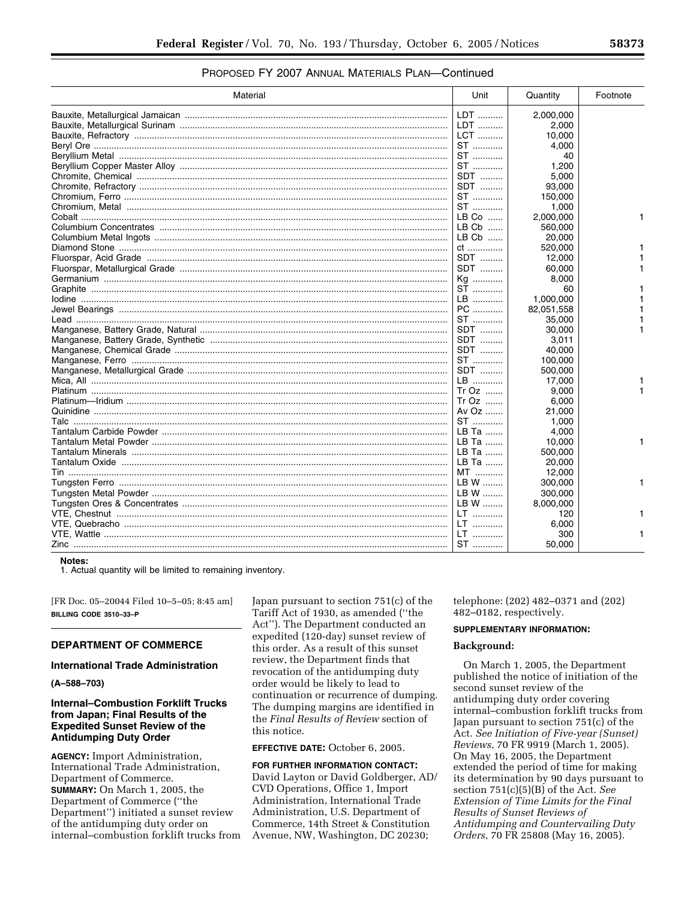# PROPOSED FY 2007 ANNUAL MATERIALS PLAN—Continued

| Material | Unit    | Quantity   | Footnote |
|----------|---------|------------|----------|
|          | LDT     | 2,000,000  |          |
|          | LDT     | 2,000      |          |
|          | LCT     | 10,000     |          |
|          | ST      | 4,000      |          |
|          | ST      | 40         |          |
|          | ST      | 1,200      |          |
|          | SDT     | 5,000      |          |
|          | SDT     | 93,000     |          |
|          | ST      | 150,000    |          |
|          | ST      | 1,000      |          |
|          | $LB$ Co | 2,000,000  | 1        |
|          | $LB$ Cb | 560,000    |          |
|          | $LB$ Cb | 20,000     |          |
|          |         | 520,000    |          |
|          | ct      |            |          |
|          | SDT     | 12,000     |          |
|          | SDT     | 60,000     |          |
|          | Kg      | 8,000      |          |
|          | ST      | 60         |          |
|          | LB      | 1.000.000  |          |
|          | PC      | 82,051,558 |          |
|          | ST      | 35,000     |          |
|          | SDT     | 30,000     |          |
|          | SDT     | 3,011      |          |
|          | SDT     | 40.000     |          |
|          | ST      | 100,000    |          |
|          | SDT     | 500,000    |          |
|          | LB      | 17,000     |          |
|          | $Tr Oz$ | 9,000      |          |
|          | $Tr Oz$ | 6,000      |          |
|          | Av $Oz$ | 21,000     |          |
|          | ST      | 1,000      |          |
|          | LB Ta   | 4,000      |          |
|          | LB Ta   | 10,000     | 1        |
|          | LB Ta   | 500,000    |          |
|          | LB Ta   | 20,000     |          |
|          | MT      | 12,000     |          |
|          | LB W    | 300,000    |          |
|          | LB W    | 300,000    |          |
|          | LB W    | 8,000,000  |          |
|          | LT      | 120        |          |
|          | LT      | 6,000      |          |
|          | LT      | 300        |          |
|          | ST      | 50,000     |          |

**Notes:** 

1. Actual quantity will be limited to remaining inventory.

[FR Doc. 05–20044 Filed 10–5–05; 8:45 am] **BILLING CODE 3510–33–P** 

# **DEPARTMENT OF COMMERCE**

### **International Trade Administration**

**(A–588–703)** 

# **Internal–Combustion Forklift Trucks from Japan; Final Results of the Expedited Sunset Review of the Antidumping Duty Order**

**AGENCY:** Import Administration, International Trade Administration, Department of Commerce. **SUMMARY:** On March 1, 2005, the Department of Commerce (''the Department'') initiated a sunset review of the antidumping duty order on internal–combustion forklift trucks from Japan pursuant to section 751(c) of the Tariff Act of 1930, as amended (''the Act''). The Department conducted an expedited (120-day) sunset review of this order. As a result of this sunset review, the Department finds that revocation of the antidumping duty order would be likely to lead to continuation or recurrence of dumping. The dumping margins are identified in the *Final Results of Review* section of this notice.

## **EFFECTIVE DATE:** October 6, 2005.

**FOR FURTHER INFORMATION CONTACT:**  David Layton or David Goldberger, AD/ CVD Operations, Office 1, Import Administration, International Trade Administration, U.S. Department of Commerce, 14th Street & Constitution Avenue, NW, Washington, DC 20230;

telephone: (202) 482–0371 and (202) 482–0182, respectively.

# **SUPPLEMENTARY INFORMATION:**

#### **Background:**

On March 1, 2005, the Department published the notice of initiation of the second sunset review of the antidumping duty order covering internal–combustion forklift trucks from Japan pursuant to section 751(c) of the Act. *See Initiation of Five-year (Sunset) Reviews*, 70 FR 9919 (March 1, 2005). On May 16, 2005, the Department extended the period of time for making its determination by 90 days pursuant to section 751(c)(5)(B) of the Act. *See Extension of Time Limits for the Final Results of Sunset Reviews of Antidumping and Countervailing Duty Orders*, 70 FR 25808 (May 16, 2005).